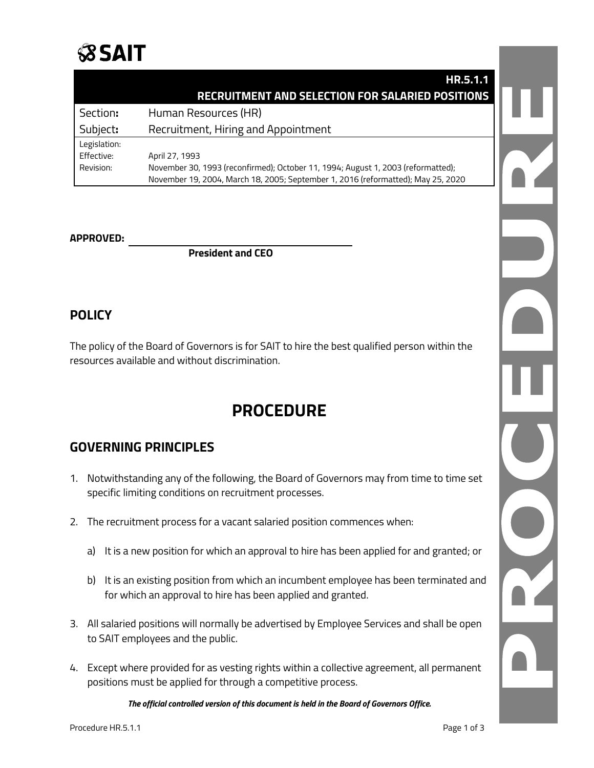

|              | HR.5.1.1                                                                         |  |
|--------------|----------------------------------------------------------------------------------|--|
|              | <b>RECRUITMENT AND SELECTION FOR SALARIED POSITIONS</b>                          |  |
| Section:     | Human Resources (HR)                                                             |  |
| Subject:     | Recruitment, Hiring and Appointment                                              |  |
| Legislation: |                                                                                  |  |
| Effective:   | April 27, 1993                                                                   |  |
| Revision:    | November 30, 1993 (reconfirmed); October 11, 1994; August 1, 2003 (reformatted); |  |
|              | November 19, 2004, March 18, 2005; September 1, 2016 (reformatted); May 25, 2020 |  |

#### **APPROVED:**

**President and CEO**

#### **POLICY**

The policy of the Board of Governors is for SAIT to hire the best qualified person within the resources available and without discrimination.

## **PROCEDURE**

### **GOVERNING PRINCIPLES**

- 1. Notwithstanding any of the following, the Board of Governors may from time to time set specific limiting conditions on recruitment processes.
- 2. The recruitment process for a vacant salaried position commences when:
	- a) It is a new position for which an approval to hire has been applied for and granted; or
	- b) It is an existing position from which an incumbent employee has been terminated and for which an approval to hire has been applied and granted.
- 3. All salaried positions will normally be advertised by Employee Services and shall be open to SAIT employees and the public.
- 4. Except where provided for as vesting rights within a collective agreement, all permanent positions must be applied for through a competitive process.

*The official controlled version of this document is held in the Board of Governors Office.*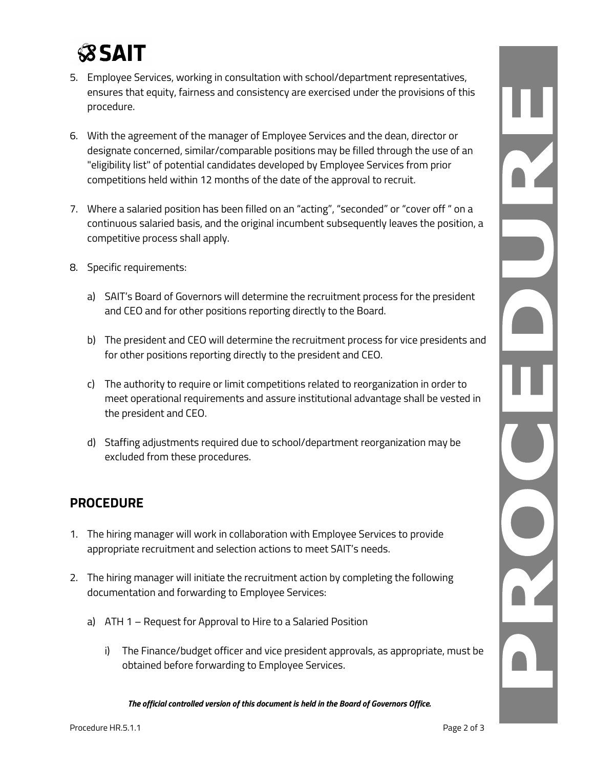# **SSAIT**

- 5. Employee Services, working in consultation with school/department representatives, ensures that equity, fairness and consistency are exercised under the provisions of this procedure.
- 6. With the agreement of the manager of Employee Services and the dean, director or designate concerned, similar/comparable positions may be filled through the use of an "eligibility list" of potential candidates developed by Employee Services from prior competitions held within 12 months of the date of the approval to recruit.
- 7. Where a salaried position has been filled on an "acting", "seconded" or "cover off " on a continuous salaried basis, and the original incumbent subsequently leaves the position, a competitive process shall apply.
- 8. Specific requirements:
	- a) SAIT's Board of Governors will determine the recruitment process for the president and CEO and for other positions reporting directly to the Board.
	- b) The president and CEO will determine the recruitment process for vice presidents and for other positions reporting directly to the president and CEO.
	- c) The authority to require or limit competitions related to reorganization in order to meet operational requirements and assure institutional advantage shall be vested in the president and CEO.
	- d) Staffing adjustments required due to school/department reorganization may be excluded from these procedures.

### **PROCEDURE**

- 1. The hiring manager will work in collaboration with Employee Services to provide appropriate recruitment and selection actions to meet SAIT's needs.
- 2. The hiring manager will initiate the recruitment action by completing the following documentation and forwarding to Employee Services:
	- a) ATH 1 Request for Approval to Hire to a Salaried Position
		- i) The Finance/budget officer and vice president approvals, as appropriate, must be obtained before forwarding to Employee Services.

*The official controlled version of this document is held in the Board of Governors Office.*